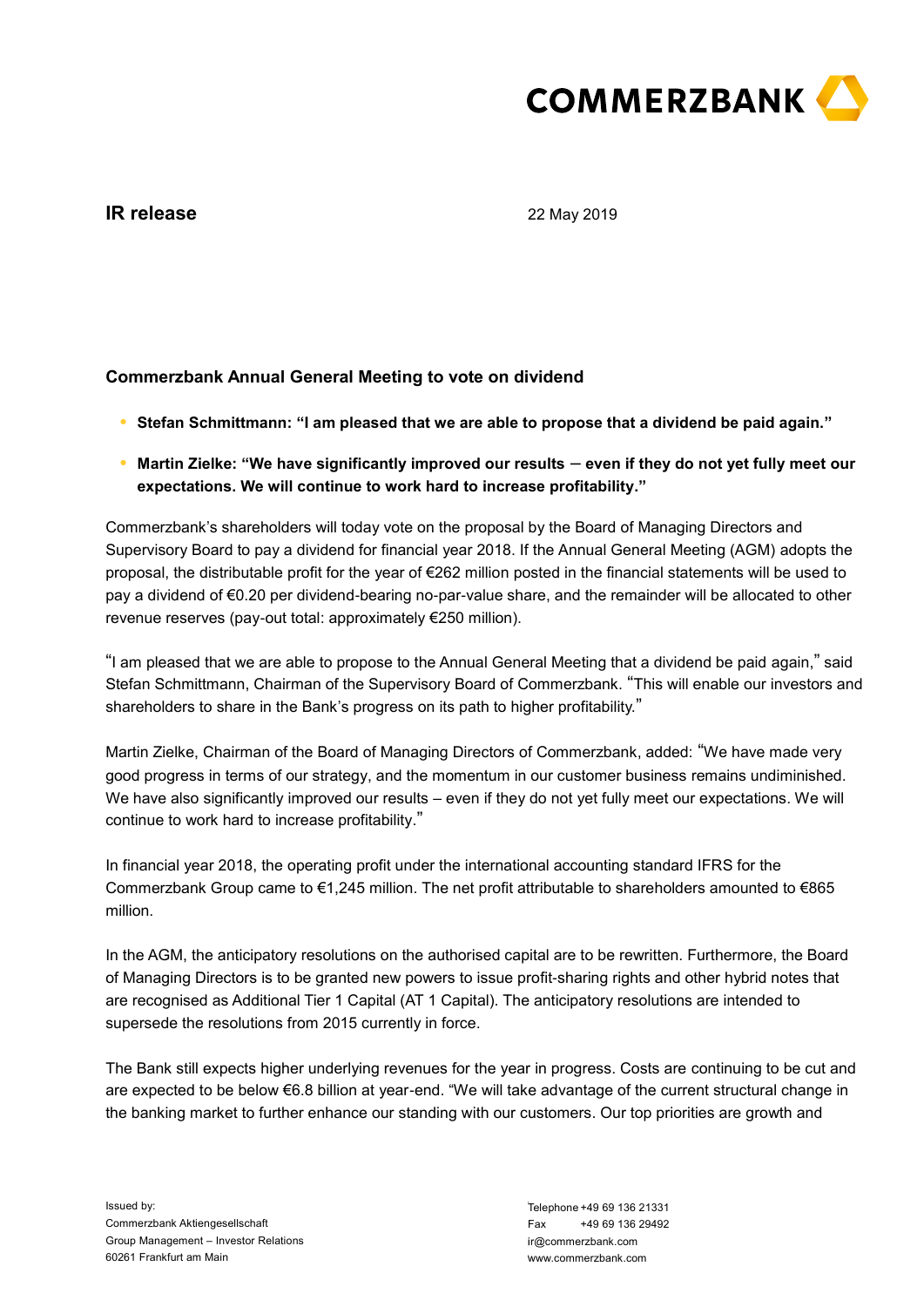

# **IR release**

22 May 2019

## **Commerzbank Annual General Meeting to vote on dividend**

- **● Stefan Schmittmann: "I am pleased that we are able to propose that a dividend be paid again."**
- **● Martin Zielke: "We have significantly improved our results even if they do not yet fully meet our expectations. We will continue to work hard to increase profitability."**

Commerzbank's shareholders will today vote on the proposal by the Board of Managing Directors and Supervisory Board to pay a dividend for financial year 2018. If the Annual General Meeting (AGM) adopts the proposal, the distributable profit for the year of €262 million posted in the financial statements will be used to pay a dividend of €0.20 per dividend-bearing no-par-value share, and the remainder will be allocated to other revenue reserves (pay-out total: approximately €250 million).

"I am pleased that we are able to propose to the Annual General Meeting that a dividend be paid again," said Stefan Schmittmann, Chairman of the Supervisory Board of Commerzbank. "This will enable our investors and shareholders to share in the Bank's progress on its path to higher profitability."

Martin Zielke, Chairman of the Board of Managing Directors of Commerzbank, added: "We have made very good progress in terms of our strategy, and the momentum in our customer business remains undiminished. We have also significantly improved our results – even if they do not yet fully meet our expectations. We will continue to work hard to increase profitability."

In financial year 2018, the operating profit under the international accounting standard IFRS for the Commerzbank Group came to €1,245 million. The net profit attributable to shareholders amounted to €865 million.

In the AGM, the anticipatory resolutions on the authorised capital are to be rewritten. Furthermore, the Board of Managing Directors is to be granted new powers to issue profit-sharing rights and other hybrid notes that are recognised as Additional Tier 1 Capital (AT 1 Capital). The anticipatory resolutions are intended to supersede the resolutions from 2015 currently in force.

The Bank still expects higher underlying revenues for the year in progress. Costs are continuing to be cut and are expected to be below €6.8 billion at year-end. "We will take advantage of the current structural change in the banking market to further enhance our standing with our customers. Our top priorities are growth and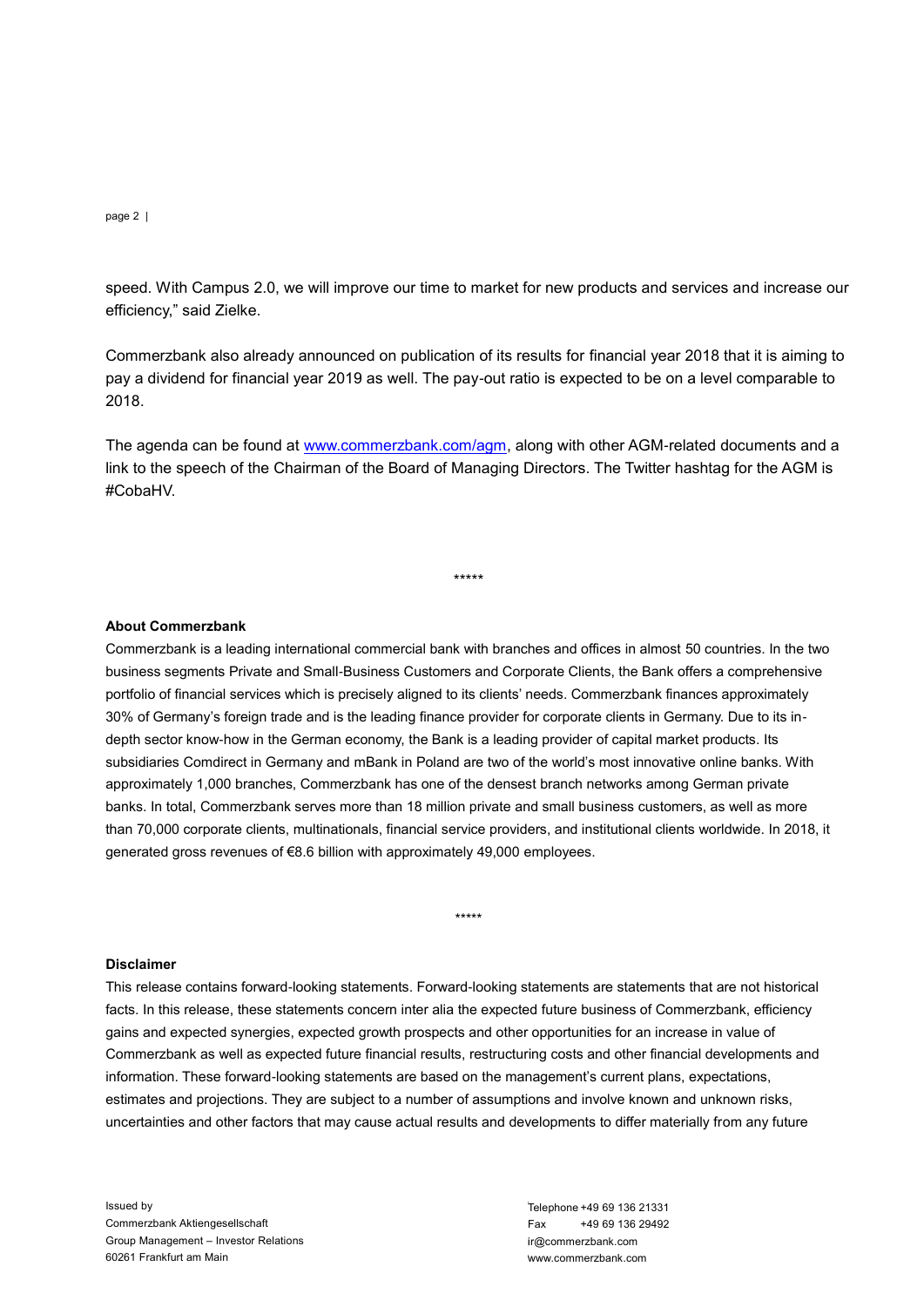#### page 2 |

efficiency," said Zielke.

Commerzbank also already announced on publication of its results for financial year 2018 that it is aiming to pay a dividend for financial year 2019 as well. The pay-out ratio is expected to be on a level comparable to 2018.

The agenda can be found at [www.commerzbank.com/agm,](http://www.commerzbank.com/agm) along with other AGM-related documents and a link to the speech of the Chairman of the Board of Managing Directors. The Twitter hashtag for the AGM is #CobaHV.

\*\*\*\*\*

## **About Commerzbank**

speed. With Campus 2.0, we will improve our time to market for new products and services and increase our Campus 2.0, we compare the comparison of the results for franchisip services and increase our Campus 2.0, commerzban Commerzbank is a leading international commercial bank with branches and offices in almost 50 countries. In the two business segments Private and Small-Business Customers and Corporate Clients, the Bank offers a comprehensive portfolio of financial services which is precisely aligned to its clients' needs. Commerzbank finances approximately 30% of Germany's foreign trade and is the leading finance provider for corporate clients in Germany. Due to its indepth sector know-how in the German economy, the Bank is a leading provider of capital market products. Its subsidiaries Comdirect in Germany and mBank in Poland are two of the world's most innovative online banks. With approximately 1,000 branches, Commerzbank has one of the densest branch networks among German private banks. In total, Commerzbank serves more than 18 million private and small business customers, as well as more than 70,000 corporate clients, multinationals, financial service providers, and institutional clients worldwide. In 2018, it generated gross revenues of €8.6 billion with approximately 49,000 employees.

#### **Disclaimer**

This release contains forward-looking statements. Forward-looking statements are statements that are not historical facts. In this release, these statements concern inter alia the expected future business of Commerzbank, efficiency gains and expected synergies, expected growth prospects and other opportunities for an increase in value of Commerzbank as well as expected future financial results, restructuring costs and other financial developments and information. These forward-looking statements are based on the management's current plans, expectations, estimates and projections. They are subject to a number of assumptions and involve known and unknown risks, uncertainties and other factors that may cause actual results and developments to differ materially from any future

\*\*\*\*\*

Issued by Commerzbank Aktiengesellschaft Group Management – Investor Relations 60261 Frankfurt am Main

Telephone +49 69 136 21331<br>Fax +49 69 136 29492  $Fax +496913629492$ ir@commerzbank.com www.commerzbank.com